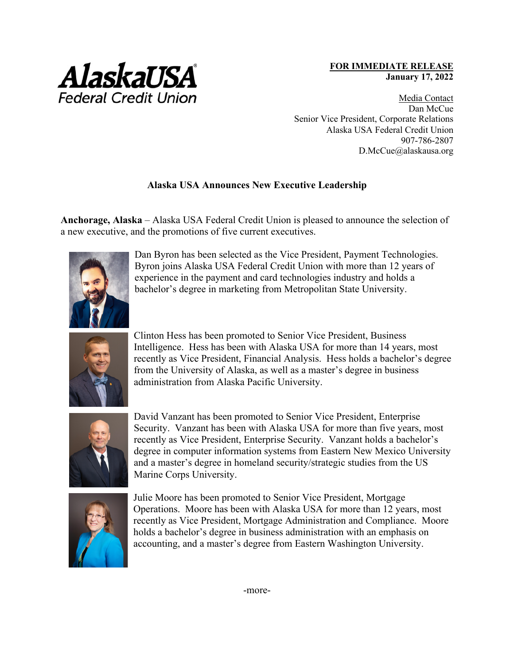

## **FOR IMMEDIATE RELEASE January 17, 2022**

Media Contact Dan McCue Senior Vice President, Corporate Relations Alaska USA Federal Credit Union 907-786-2807 D.McCue@alaskausa.org

## **Alaska USA Announces New Executive Leadership**

**Anchorage, Alaska** – Alaska USA Federal Credit Union is pleased to announce the selection of a new executive, and the promotions of five current executives.



Dan Byron has been selected as the Vice President, Payment Technologies. Byron joins Alaska USA Federal Credit Union with more than 12 years of experience in the payment and card technologies industry and holds a bachelor's degree in marketing from Metropolitan State University.



Clinton Hess has been promoted to Senior Vice President, Business Intelligence. Hess has been with Alaska USA for more than 14 years, most recently as Vice President, Financial Analysis. Hess holds a bachelor's degree from the University of Alaska, as well as a master's degree in business administration from Alaska Pacific University.



David Vanzant has been promoted to Senior Vice President, Enterprise Security. Vanzant has been with Alaska USA for more than five years, most recently as Vice President, Enterprise Security. Vanzant holds a bachelor's degree in computer information systems from Eastern New Mexico University and a master's degree in homeland security/strategic studies from the US Marine Corps University.



Julie Moore has been promoted to Senior Vice President, Mortgage Operations. Moore has been with Alaska USA for more than 12 years, most recently as Vice President, Mortgage Administration and Compliance. Moore holds a bachelor's degree in business administration with an emphasis on accounting, and a master's degree from Eastern Washington University.